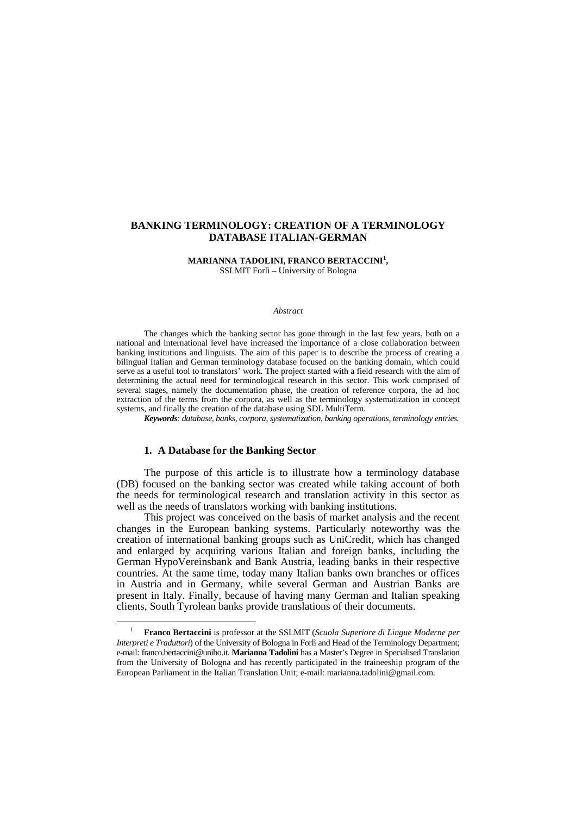## **BANKING TERMINOLOGY: CREATION OF A TERMINOLOGY DATABASE ITALIAN-GERMAN**

#### **MARIANNA TADOLINI, FRANCO BERTACCINI<sup>1</sup> ,**  SSLMIT Forlì – University of Bologna

#### *Abstract*

The changes which the banking sector has gone through in the last few years, both on a national and international level have increased the importance of a close collaboration between banking institutions and linguists. The aim of this paper is to describe the process of creating a bilingual Italian and German terminology database focused on the banking domain, which could serve as a useful tool to translators' work. The project started with a field research with the aim of determining the actual need for terminological research in this sector. This work comprised of several stages, namely the documentation phase, the creation of reference corpora, the ad hoc extraction of the terms from the corpora, as well as the terminology systematization in concept systems, and finally the creation of the database using SDL MultiTerm.

*Keywords: database, banks, corpora, systematization, banking operations, terminology entries.* 

### **1. A Database for the Banking Sector**

 $\overline{a}$ 

The purpose of this article is to illustrate how a terminology database (DB) focused on the banking sector was created while taking account of both the needs for terminological research and translation activity in this sector as well as the needs of translators working with banking institutions.

This project was conceived on the basis of market analysis and the recent changes in the European banking systems. Particularly noteworthy was the creation of international banking groups such as UniCredit, which has changed and enlarged by acquiring various Italian and foreign banks, including the German HypoVereinsbank and Bank Austria, leading banks in their respective countries. At the same time, today many Italian banks own branches or offices in Austria and in Germany, while several German and Austrian Banks are present in Italy. Finally, because of having many German and Italian speaking clients, South Tyrolean banks provide translations of their documents.

<sup>1</sup> **Franco Bertaccini** is professor at the SSLMIT (*Scuola Superiore di Lingue Moderne per Interpreti e Traduttori*) of the University of Bologna in Forlì and Head of the Terminology Department; e-mail: franco.bertaccini@unibo.it. **Marianna Tadolini** has a Master's Degree in Specialised Translation from the University of Bologna and has recently participated in the traineeship program of the European Parliament in the Italian Translation Unit; e-mail: marianna.tadolini@gmail.com.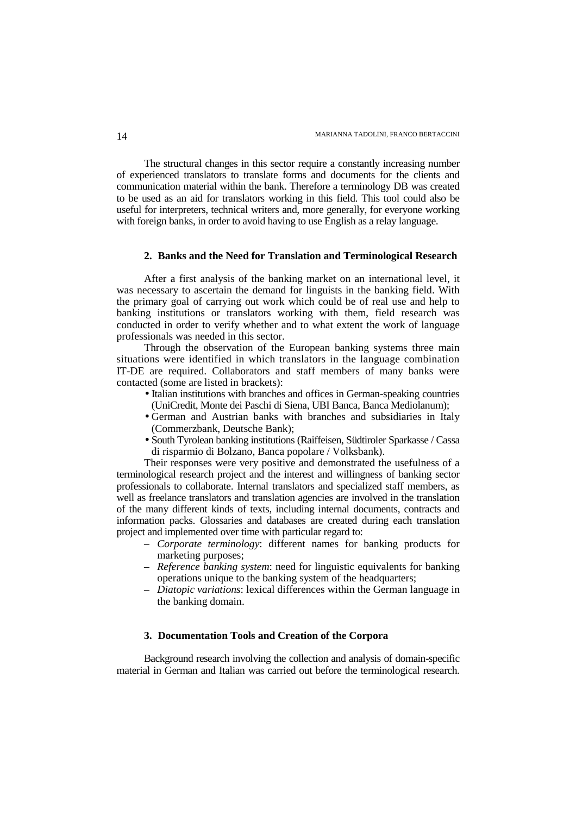The structural changes in this sector require a constantly increasing number of experienced translators to translate forms and documents for the clients and communication material within the bank. Therefore a terminology DB was created to be used as an aid for translators working in this field. This tool could also be useful for interpreters, technical writers and, more generally, for everyone working with foreign banks, in order to avoid having to use English as a relay language.

### **2. Banks and the Need for Translation and Terminological Research**

After a first analysis of the banking market on an international level, it was necessary to ascertain the demand for linguists in the banking field. With the primary goal of carrying out work which could be of real use and help to banking institutions or translators working with them, field research was conducted in order to verify whether and to what extent the work of language professionals was needed in this sector.

Through the observation of the European banking systems three main situations were identified in which translators in the language combination IT-DE are required. Collaborators and staff members of many banks were contacted (some are listed in brackets):

- Italian institutions with branches and offices in German-speaking countries (UniCredit, Monte dei Paschi di Siena, UBI Banca, Banca Mediolanum);
- German and Austrian banks with branches and subsidiaries in Italy (Commerzbank, Deutsche Bank);
- South Tyrolean banking institutions (Raiffeisen, Südtiroler Sparkasse / Cassa di risparmio di Bolzano, Banca popolare / Volksbank).

Their responses were very positive and demonstrated the usefulness of a terminological research project and the interest and willingness of banking sector professionals to collaborate. Internal translators and specialized staff members, as well as freelance translators and translation agencies are involved in the translation of the many different kinds of texts, including internal documents, contracts and information packs. Glossaries and databases are created during each translation project and implemented over time with particular regard to:

- *Corporate terminology*: different names for banking products for marketing purposes;
- *Reference banking system*: need for linguistic equivalents for banking operations unique to the banking system of the headquarters;
- *Diatopic variations*: lexical differences within the German language in the banking domain.

# **3. Documentation Tools and Creation of the Corpora**

Background research involving the collection and analysis of domain-specific material in German and Italian was carried out before the terminological research.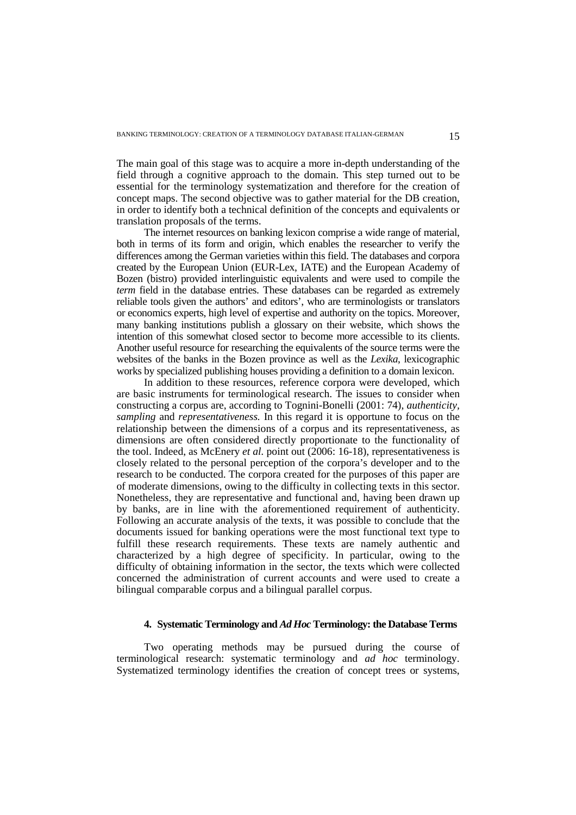The main goal of this stage was to acquire a more in-depth understanding of the field through a cognitive approach to the domain. This step turned out to be essential for the terminology systematization and therefore for the creation of concept maps. The second objective was to gather material for the DB creation, in order to identify both a technical definition of the concepts and equivalents or translation proposals of the terms.

The internet resources on banking lexicon comprise a wide range of material, both in terms of its form and origin, which enables the researcher to verify the differences among the German varieties within this field. The databases and corpora created by the European Union (EUR-Lex, IATE) and the European Academy of Bozen (bistro) provided interlinguistic equivalents and were used to compile the *term* field in the database entries. These databases can be regarded as extremely reliable tools given the authors' and editors', who are terminologists or translators or economics experts, high level of expertise and authority on the topics. Moreover, many banking institutions publish a glossary on their website, which shows the intention of this somewhat closed sector to become more accessible to its clients. Another useful resource for researching the equivalents of the source terms were the websites of the banks in the Bozen province as well as the *Lexika*, lexicographic works by specialized publishing houses providing a definition to a domain lexicon.

In addition to these resources, reference corpora were developed, which are basic instruments for terminological research. The issues to consider when constructing a corpus are, according to Tognini-Bonelli (2001: 74), *authenticity, sampling* and *representativeness.* In this regard it is opportune to focus on the relationship between the dimensions of a corpus and its representativeness, as dimensions are often considered directly proportionate to the functionality of the tool. Indeed, as McEnery *et al.* point out (2006: 16-18), representativeness is closely related to the personal perception of the corpora's developer and to the research to be conducted. The corpora created for the purposes of this paper are of moderate dimensions, owing to the difficulty in collecting texts in this sector. Nonetheless, they are representative and functional and, having been drawn up by banks, are in line with the aforementioned requirement of authenticity. Following an accurate analysis of the texts, it was possible to conclude that the documents issued for banking operations were the most functional text type to fulfill these research requirements. These texts are namely authentic and characterized by a high degree of specificity. In particular, owing to the difficulty of obtaining information in the sector, the texts which were collected concerned the administration of current accounts and were used to create a bilingual comparable corpus and a bilingual parallel corpus.

### **4. Systematic Terminology and** *Ad Hoc* **Terminology: the Database Terms**

Two operating methods may be pursued during the course of terminological research: systematic terminology and *ad hoc* terminology. Systematized terminology identifies the creation of concept trees or systems,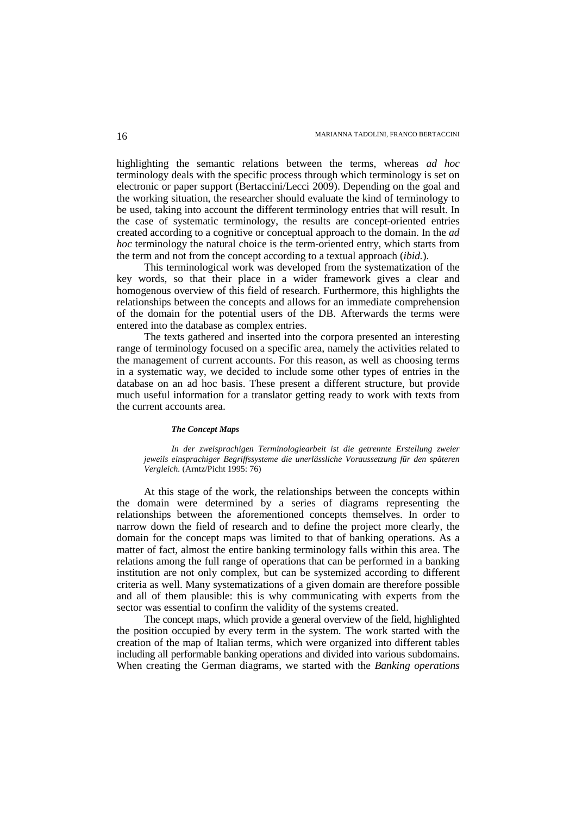highlighting the semantic relations between the terms, whereas *ad hoc* terminology deals with the specific process through which terminology is set on electronic or paper support (Bertaccini/Lecci 2009). Depending on the goal and the working situation, the researcher should evaluate the kind of terminology to be used, taking into account the different terminology entries that will result. In the case of systematic terminology, the results are concept-oriented entries created according to a cognitive or conceptual approach to the domain. In the *ad hoc* terminology the natural choice is the term-oriented entry, which starts from the term and not from the concept according to a textual approach (*ibid.*).

This terminological work was developed from the systematization of the key words, so that their place in a wider framework gives a clear and homogenous overview of this field of research. Furthermore, this highlights the relationships between the concepts and allows for an immediate comprehension of the domain for the potential users of the DB. Afterwards the terms were entered into the database as complex entries.

The texts gathered and inserted into the corpora presented an interesting range of terminology focused on a specific area, namely the activities related to the management of current accounts. For this reason, as well as choosing terms in a systematic way, we decided to include some other types of entries in the database on an ad hoc basis. These present a different structure, but provide much useful information for a translator getting ready to work with texts from the current accounts area.

#### *The Concept Maps*

*In der zweisprachigen Terminologiearbeit ist die getrennte Erstellung zweier jeweils einsprachiger Begriffssysteme die unerlässliche Voraussetzung für den späteren Vergleich.* (Arntz/Picht 1995: 76)

At this stage of the work, the relationships between the concepts within the domain were determined by a series of diagrams representing the relationships between the aforementioned concepts themselves. In order to narrow down the field of research and to define the project more clearly, the domain for the concept maps was limited to that of banking operations. As a matter of fact, almost the entire banking terminology falls within this area. The relations among the full range of operations that can be performed in a banking institution are not only complex, but can be systemized according to different criteria as well. Many systematizations of a given domain are therefore possible and all of them plausible: this is why communicating with experts from the sector was essential to confirm the validity of the systems created.

The concept maps, which provide a general overview of the field, highlighted the position occupied by every term in the system. The work started with the creation of the map of Italian terms, which were organized into different tables including all performable banking operations and divided into various subdomains. When creating the German diagrams, we started with the *Banking operations*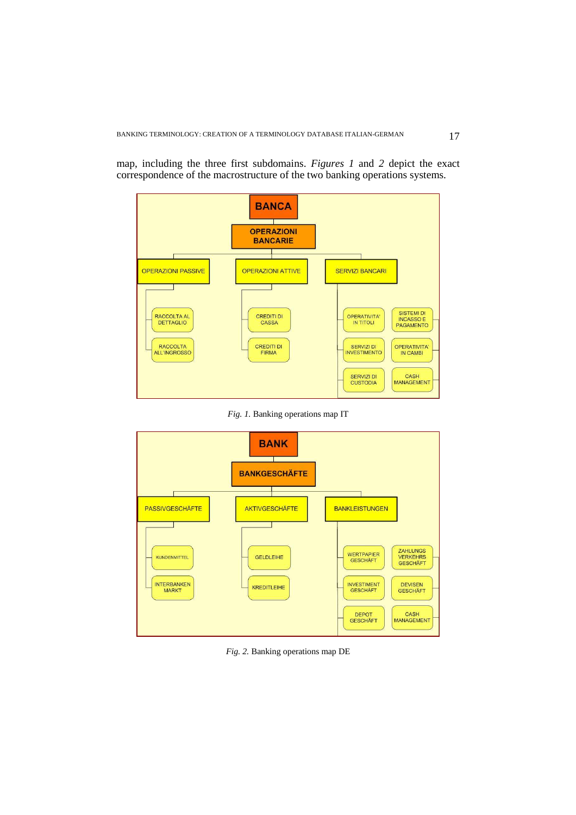

map, including the three first subdomains. *Figures 1* and *2* depict the exact correspondence of the macrostructure of the two banking operations systems.

*Fig. 1.* Banking operations map IT



*Fig. 2.* Banking operations map DE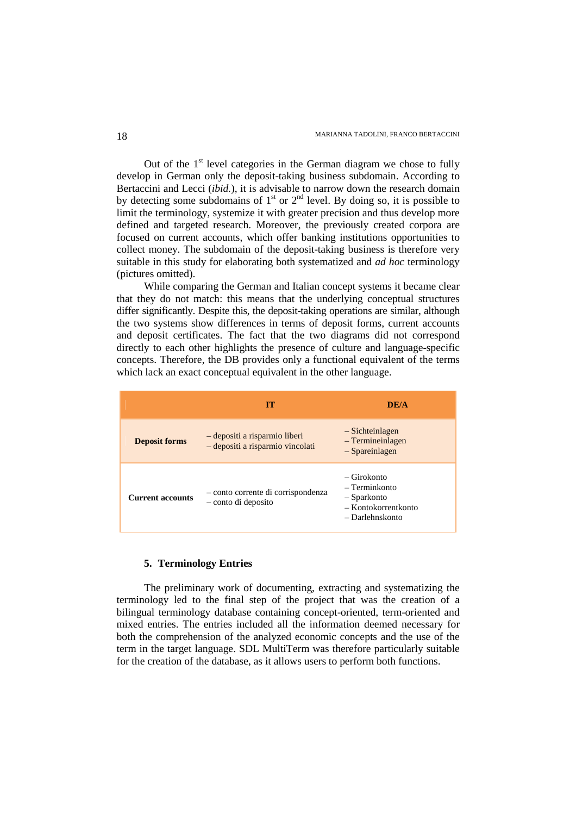Out of the  $1<sup>st</sup>$  level categories in the German diagram we chose to fully develop in German only the deposit-taking business subdomain. According to Bertaccini and Lecci (*ibid.*), it is advisable to narrow down the research domain by detecting some subdomains of  $1<sup>st</sup>$  or  $2<sup>nd</sup>$  level. By doing so, it is possible to limit the terminology, systemize it with greater precision and thus develop more defined and targeted research. Moreover, the previously created corpora are focused on current accounts, which offer banking institutions opportunities to collect money. The subdomain of the deposit-taking business is therefore very suitable in this study for elaborating both systematized and *ad hoc* terminology (pictures omitted).

While comparing the German and Italian concept systems it became clear that they do not match: this means that the underlying conceptual structures differ significantly. Despite this, the deposit-taking operations are similar, although the two systems show differences in terms of deposit forms, current accounts and deposit certificates. The fact that the two diagrams did not correspond directly to each other highlights the presence of culture and language-specific concepts. Therefore, the DB provides only a functional equivalent of the terms which lack an exact conceptual equivalent in the other language.

|                         | TТ                                                                | DE/A                                                                                  |
|-------------------------|-------------------------------------------------------------------|---------------------------------------------------------------------------------------|
| <b>Deposit forms</b>    | - depositi a risparmio liberi<br>- depositi a risparmio vincolati | - Sichteinlagen<br>$-$ Termineinlagen<br>$-$ Spareinlagen                             |
| <b>Current accounts</b> | - conto corrente di corrispondenza<br>- conto di deposito         | – Girokonto<br>– Terminkonto<br>- Sparkonto<br>- Kontokorrentkonto<br>- Darlehnskonto |

### **5. Terminology Entries**

The preliminary work of documenting, extracting and systematizing the terminology led to the final step of the project that was the creation of a bilingual terminology database containing concept-oriented, term-oriented and mixed entries. The entries included all the information deemed necessary for both the comprehension of the analyzed economic concepts and the use of the term in the target language. SDL MultiTerm was therefore particularly suitable for the creation of the database, as it allows users to perform both functions.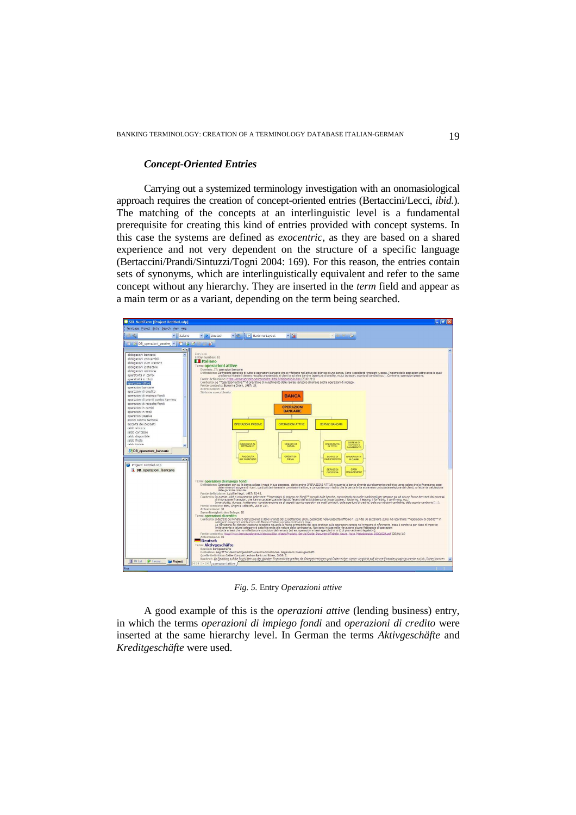# *Concept-Oriented Entries*

Carrying out a systemized terminology investigation with an onomasiological approach requires the creation of concept-oriented entries (Bertaccini/Lecci, *ibid.*). The matching of the concepts at an interlinguistic level is a fundamental prerequisite for creating this kind of entries provided with concept systems. In this case the systems are defined as *exocentric*, as they are based on a shared experience and not very dependent on the structure of a specific language (Bertaccini/Prandi/Sintuzzi/Togni 2004: 169). For this reason, the entries contain sets of synonyms, which are interlinguistically equivalent and refer to the same concept without any hierarchy. They are inserted in the *term* field and appear as a main term or as a variant, depending on the term being searched.



*Fig. 5.* Entry *Operazioni attive*

A good example of this is the *operazioni attive* (lending business) entry, in which the terms *operazioni di impiego fondi* and *operazioni di credito* were inserted at the same hierarchy level. In German the terms *Aktivgeschäfte* and *Kreditgeschäfte* were used.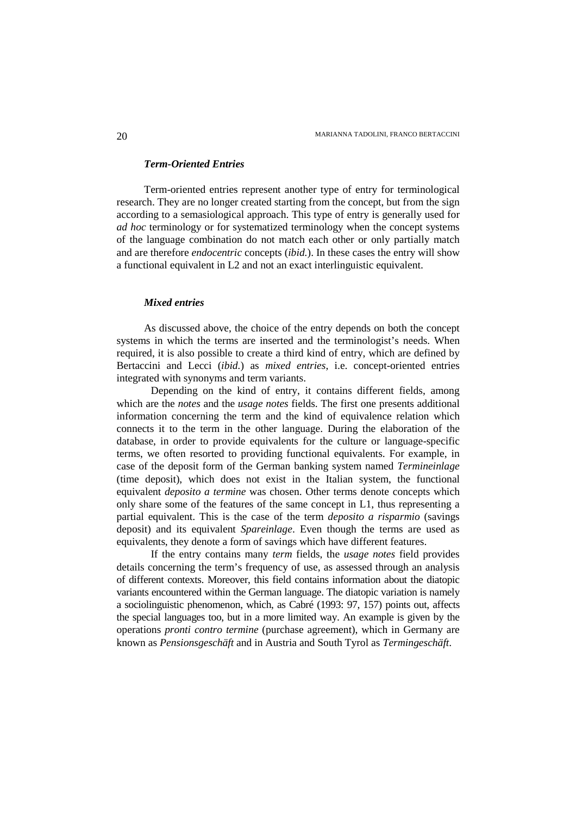# *Term-Oriented Entries*

Term-oriented entries represent another type of entry for terminological research. They are no longer created starting from the concept, but from the sign according to a semasiological approach. This type of entry is generally used for *ad hoc* terminology or for systematized terminology when the concept systems of the language combination do not match each other or only partially match and are therefore *endocentric* concepts (*ibid.*). In these cases the entry will show a functional equivalent in L2 and not an exact interlinguistic equivalent.

# *Mixed entries*

As discussed above, the choice of the entry depends on both the concept systems in which the terms are inserted and the terminologist's needs. When required, it is also possible to create a third kind of entry, which are defined by Bertaccini and Lecci (*ibid.*) as *mixed entries*, i.e. concept-oriented entries integrated with synonyms and term variants.

 Depending on the kind of entry, it contains different fields, among which are the *notes* and the *usage notes* fields. The first one presents additional information concerning the term and the kind of equivalence relation which connects it to the term in the other language. During the elaboration of the database, in order to provide equivalents for the culture or language-specific terms, we often resorted to providing functional equivalents. For example, in case of the deposit form of the German banking system named *Termineinlage* (time deposit), which does not exist in the Italian system, the functional equivalent *deposito a termine* was chosen. Other terms denote concepts which only share some of the features of the same concept in L1, thus representing a partial equivalent. This is the case of the term *deposito a risparmio* (savings deposit) and its equivalent *Spareinlage*. Even though the terms are used as equivalents, they denote a form of savings which have different features.

 If the entry contains many *term* fields, the *usage notes* field provides details concerning the term's frequency of use, as assessed through an analysis of different contexts. Moreover, this field contains information about the diatopic variants encountered within the German language. The diatopic variation is namely a sociolinguistic phenomenon, which, as Cabré (1993: 97, 157) points out, affects the special languages too, but in a more limited way. An example is given by the operations *pronti contro termine* (purchase agreement), which in Germany are known as *Pensionsgeschäft* and in Austria and South Tyrol as *Termingeschäft*.